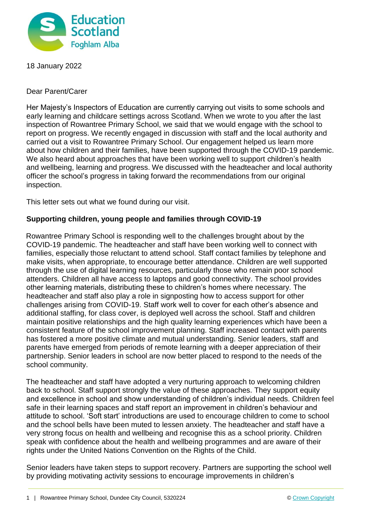

18 January 2022

Dear Parent/Carer

Her Majesty's Inspectors of Education are currently carrying out visits to some schools and early learning and childcare settings across Scotland. When we wrote to you after the last inspection of Rowantree Primary School, we said that we would engage with the school to report on progress. We recently engaged in discussion with staff and the local authority and carried out a visit to Rowantree Primary School. Our engagement helped us learn more about how children and their families, have been supported through the COVID-19 pandemic. We also heard about approaches that have been working well to support children's health and wellbeing, learning and progress. We discussed with the headteacher and local authority officer the school's progress in taking forward the recommendations from our original inspection.

This letter sets out what we found during our visit.

## **Supporting children, young people and families through COVID-19**

Rowantree Primary School is responding well to the challenges brought about by the COVID-19 pandemic. The headteacher and staff have been working well to connect with families, especially those reluctant to attend school. Staff contact families by telephone and make visits, when appropriate, to encourage better attendance. Children are well supported through the use of digital learning resources, particularly those who remain poor school attenders. Children all have access to laptops and good connectivity. The school provides other learning materials, distributing these to children's homes where necessary. The headteacher and staff also play a role in signposting how to access support for other challenges arising from COVID-19. Staff work well to cover for each other's absence and additional staffing, for class cover, is deployed well across the school. Staff and children maintain positive relationships and the high quality learning experiences which have been a consistent feature of the school improvement planning. Staff increased contact with parents has fostered a more positive climate and mutual understanding. Senior leaders, staff and parents have emerged from periods of remote learning with a deeper appreciation of their partnership. Senior leaders in school are now better placed to respond to the needs of the school community.

The headteacher and staff have adopted a very nurturing approach to welcoming children back to school. Staff support strongly the value of these approaches. They support equity and excellence in school and show understanding of children's individual needs. Children feel safe in their learning spaces and staff report an improvement in children's behaviour and attitude to school. 'Soft start' introductions are used to encourage children to come to school and the school bells have been muted to lessen anxiety. The headteacher and staff have a very strong focus on health and wellbeing and recognise this as a school priority. Children speak with confidence about the health and wellbeing programmes and are aware of their rights under the United Nations Convention on the Rights of the Child.

Senior leaders have taken steps to support recovery. Partners are supporting the school well by providing motivating activity sessions to encourage improvements in children's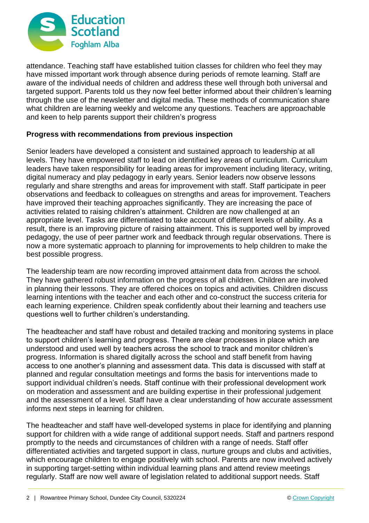

attendance. Teaching staff have established tuition classes for children who feel they may have missed important work through absence during periods of remote learning. Staff are aware of the individual needs of children and address these well through both universal and targeted support. Parents told us they now feel better informed about their children's learning through the use of the newsletter and digital media. These methods of communication share what children are learning weekly and welcome any questions. Teachers are approachable and keen to help parents support their children's progress

## **Progress with recommendations from previous inspection**

Senior leaders have developed a consistent and sustained approach to leadership at all levels. They have empowered staff to lead on identified key areas of curriculum. Curriculum leaders have taken responsibility for leading areas for improvement including literacy, writing, digital numeracy and play pedagogy in early years. Senior leaders now observe lessons regularly and share strengths and areas for improvement with staff. Staff participate in peer observations and feedback to colleagues on strengths and areas for improvement. Teachers have improved their teaching approaches significantly. They are increasing the pace of activities related to raising children's attainment. Children are now challenged at an appropriate level. Tasks are differentiated to take account of different levels of ability. As a result, there is an improving picture of raising attainment. This is supported well by improved pedagogy, the use of peer partner work and feedback through regular observations. There is now a more systematic approach to planning for improvements to help children to make the best possible progress.

The leadership team are now recording improved attainment data from across the school. They have gathered robust information on the progress of all children. Children are involved in planning their lessons. They are offered choices on topics and activities. Children discuss learning intentions with the teacher and each other and co-construct the success criteria for each learning experience. Children speak confidently about their learning and teachers use questions well to further children's understanding.

The headteacher and staff have robust and detailed tracking and monitoring systems in place to support children's learning and progress. There are clear processes in place which are understood and used well by teachers across the school to track and monitor children's progress. Information is shared digitally across the school and staff benefit from having access to one another's planning and assessment data. This data is discussed with staff at planned and regular consultation meetings and forms the basis for interventions made to support individual children's needs. Staff continue with their professional development work on moderation and assessment and are building expertise in their professional judgement and the assessment of a level. Staff have a clear understanding of how accurate assessment informs next steps in learning for children.

The headteacher and staff have well-developed systems in place for identifying and planning support for children with a wide range of additional support needs. Staff and partners respond promptly to the needs and circumstances of children with a range of needs. Staff offer differentiated activities and targeted support in class, nurture groups and clubs and activities, which encourage children to engage positively with school. Parents are now involved actively in supporting target-setting within individual learning plans and attend review meetings regularly. Staff are now well aware of legislation related to additional support needs. Staff